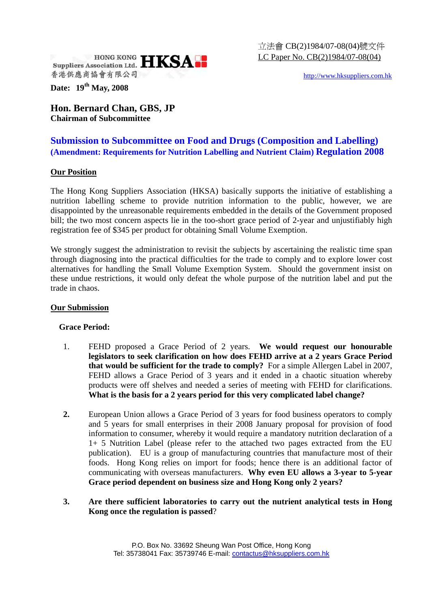

http://www.hksuppliers.com.hk

**Date: 19th May, 2008** 

**Hon. Bernard Chan, GBS, JP Chairman of Subcommittee** 

# **Submission to Subcommittee on Food and Drugs (Composition and Labelling) (Amendment: Requirements for Nutrition Labelling and Nutrient Claim) Regulation 2008**

## **Our Position**

The Hong Kong Suppliers Association (HKSA) basically supports the initiative of establishing a nutrition labelling scheme to provide nutrition information to the public, however, we are disappointed by the unreasonable requirements embedded in the details of the Government proposed bill; the two most concern aspects lie in the too-short grace period of 2-year and unjustifiably high registration fee of \$345 per product for obtaining Small Volume Exemption.

We strongly suggest the administration to revisit the subjects by ascertaining the realistic time span through diagnosing into the practical difficulties for the trade to comply and to explore lower cost alternatives for handling the Small Volume Exemption System. Should the government insist on these undue restrictions, it would only defeat the whole purpose of the nutrition label and put the trade in chaos.

### **Our Submission**

## **Grace Period:**

- 1. FEHD proposed a Grace Period of 2 years. **We would request our honourable legislators to seek clarification on how does FEHD arrive at a 2 years Grace Period that would be sufficient for the trade to comply?** For a simple Allergen Label in 2007, FEHD allows a Grace Period of 3 years and it ended in a chaotic situation whereby products were off shelves and needed a series of meeting with FEHD for clarifications. **What is the basis for a 2 years period for this very complicated label change?**
- **2.** European Union allows a Grace Period of 3 years for food business operators to comply and 5 years for small enterprises in their 2008 January proposal for provision of food information to consumer, whereby it would require a mandatory nutrition declaration of a 1+ 5 Nutrition Label (please refer to the attached two pages extracted from the EU publication). EU is a group of manufacturing countries that manufacture most of their foods. Hong Kong relies on import for foods; hence there is an additional factor of communicating with overseas manufacturers. **Why even EU allows a 3-year to 5-year Grace period dependent on business size and Hong Kong only 2 years?**

## **3. Are there sufficient laboratories to carry out the nutrient analytical tests in Hong Kong once the regulation is passed**?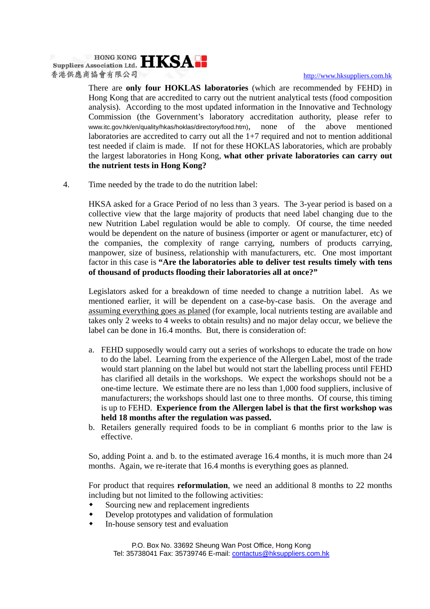Suppliers Association Ltd. HKSA 香港供應商協會有限公司

#### http://www.hksuppliers.com.hk

There are **only four HOKLAS laboratories** (which are recommended by FEHD) in Hong Kong that are accredited to carry out the nutrient analytical tests (food composition analysis). According to the most updated information in the Innovative and Technology Commission (the Government's laboratory accreditation authority, please refer to www.itc.gov.hk/en/quality/hkas/hoklas/directory/food.htm), none of the above mentioned laboratories are accredited to carry out all the 1+7 required and not to mention additional test needed if claim is made. If not for these HOKLAS laboratories, which are probably the largest laboratories in Hong Kong, **what other private laboratories can carry out the nutrient tests in Hong Kong?** 

4. Time needed by the trade to do the nutrition label:

HKSA asked for a Grace Period of no less than 3 years. The 3-year period is based on a collective view that the large majority of products that need label changing due to the new Nutrition Label regulation would be able to comply. Of course, the time needed would be dependent on the nature of business (importer or agent or manufacturer, etc) of the companies, the complexity of range carrying, numbers of products carrying, manpower, size of business, relationship with manufacturers, etc. One most important factor in this case is **"Are the laboratories able to deliver test results timely with tens of thousand of products flooding their laboratories all at once?"** 

Legislators asked for a breakdown of time needed to change a nutrition label. As we mentioned earlier, it will be dependent on a case-by-case basis. On the average and assuming everything goes as planed (for example, local nutrients testing are available and takes only 2 weeks to 4 weeks to obtain results) and no major delay occur, we believe the label can be done in 16.4 months. But, there is consideration of:

- a. FEHD supposedly would carry out a series of workshops to educate the trade on how to do the label. Learning from the experience of the Allergen Label, most of the trade would start planning on the label but would not start the labelling process until FEHD has clarified all details in the workshops. We expect the workshops should not be a one-time lecture. We estimate there are no less than 1,000 food suppliers, inclusive of manufacturers; the workshops should last one to three months. Of course, this timing is up to FEHD. **Experience from the Allergen label is that the first workshop was held 18 months after the regulation was passed.**
- b. Retailers generally required foods to be in compliant 6 months prior to the law is effective.

So, adding Point a. and b. to the estimated average 16.4 months, it is much more than 24 months. Again, we re-iterate that 16.4 months is everything goes as planned.

For product that requires **reformulation**, we need an additional 8 months to 22 months including but not limited to the following activities:

- Sourcing new and replacement ingredients
- Develop prototypes and validation of formulation
- In-house sensory test and evaluation

P.O. Box No. 33692 Sheung Wan Post Office, Hong Kong Tel: 35738041 Fax: 35739746 E-mail: contactus@hksuppliers.com.hk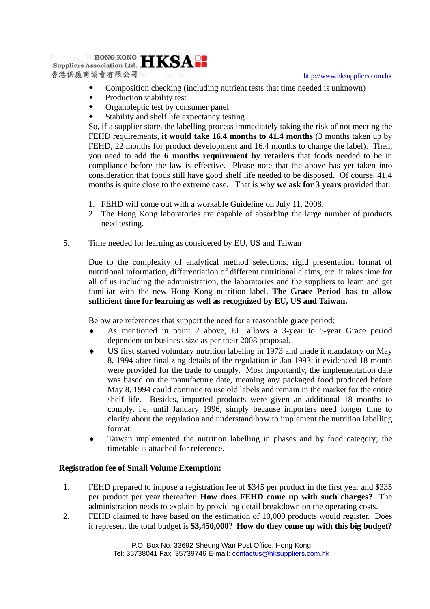http://www.hksuppliers.com.hk



- Composition checking (including nutrient tests that time needed is unknown)
- Production viability test
- Organoleptic test by consumer panel
- Stability and shelf life expectancy testing

So, if a supplier starts the labelling process immediately taking the risk of not meeting the FEHD requirements, **it would take 16.4 months to 41.4 months** (3 months taken up by FEHD, 22 months for product development and 16.4 months to change the label). Then, you need to add the **6 months requirement by retailers** that foods needed to be in compliance before the law is effective. Please note that the above has yet taken into consideration that foods still have good shelf life needed to be disposed. Of course, 41.4 months is quite close to the extreme case. That is why **we ask for 3 years** provided that:

- 1. FEHD will come out with a workable Guideline on July 11, 2008.
- 2. The Hong Kong laboratories are capable of absorbing the large number of products need testing.
- 5. Time needed for learning as considered by EU, US and Taiwan

Due to the complexity of analytical method selections, rigid presentation format of nutritional information, differentiation of different nutritional claims, etc. it takes time for all of us including the administration, the laboratories and the suppliers to learn and get familiar with the new Hong Kong nutrition label. **The Grace Period has to allow sufficient time for learning as well as recognized by EU, US and Taiwan.**

Below are references that support the need for a reasonable grace period:

- As mentioned in point 2 above, EU allows a 3-year to 5-year Grace period dependent on business size as per their 2008 proposal.
- US first started voluntary nutrition labeling in 1973 and made it mandatory on May 8, 1994 after finalizing details of the regulation in Jan 1993; it evidenced 18-month were provided for the trade to comply. Most importantly, the implementation date was based on the manufacture date, meaning any packaged food produced before May 8, 1994 could continue to use old labels and remain in the market for the entire shelf life. Besides, imported products were given an additional 18 months to comply, i.e. until January 1996, simply because importers need longer time to clarify about the regulation and understand how to implement the nutrition labelling format.
- Taiwan implemented the nutrition labelling in phases and by food category; the timetable is attached for reference.

## **Registration fee of Small Volume Exemption:**

- 1. FEHD prepared to impose a registration fee of \$345 per product in the first year and \$335 per product per year thereafter. **How does FEHD come up with such charges?** The administration needs to explain by providing detail breakdown on the operating costs.
- 2. FEHD claimed to have based on the estimation of 10,000 products would register. Does it represent the total budget is **\$3,450,000**? **How do they come up with this big budget?**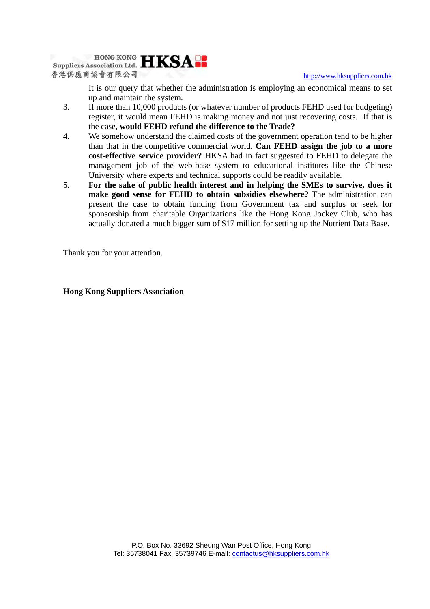http://www.hksuppliers.com.hk



It is our query that whether the administration is employing an economical means to set up and maintain the system.

- 3. If more than 10,000 products (or whatever number of products FEHD used for budgeting) register, it would mean FEHD is making money and not just recovering costs. If that is the case, **would FEHD refund the difference to the Trade?**
- 4. We somehow understand the claimed costs of the government operation tend to be higher than that in the competitive commercial world. **Can FEHD assign the job to a more cost-effective service provider?** HKSA had in fact suggested to FEHD to delegate the management job of the web-base system to educational institutes like the Chinese University where experts and technical supports could be readily available.
- 5. **For the sake of public health interest and in helping the SMEs to survive, does it make good sense for FEHD to obtain subsidies elsewhere?** The administration can present the case to obtain funding from Government tax and surplus or seek for sponsorship from charitable Organizations like the Hong Kong Jockey Club, who has actually donated a much bigger sum of \$17 million for setting up the Nutrient Data Base.

Thank you for your attention.

**Hong Kong Suppliers Association**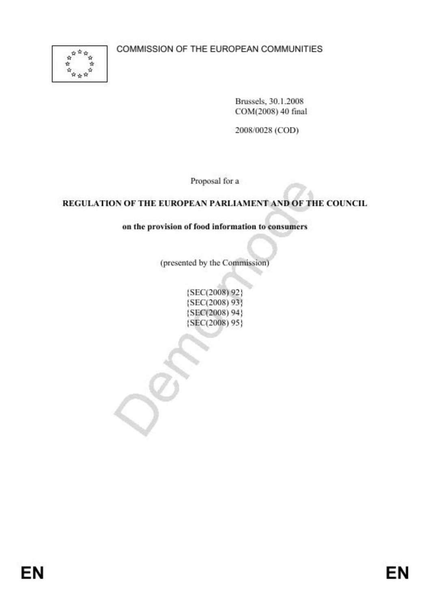COMMISSION OF THE EUROPEAN COMMUNITIES



Brussels, 30.1.2008 COM(2008) 40 final

2008/0028 (COD)

Proposal for a

#### REGULATION OF THE EUROPEAN PARLIAMENT AND OF THE COUNCIL

#### on the provision of food information to consumers

(presented by the Commission)

{SEC(2008) 92} {SEC(2008) 93} (SEC(2008) 94) {SEC(2008) 95}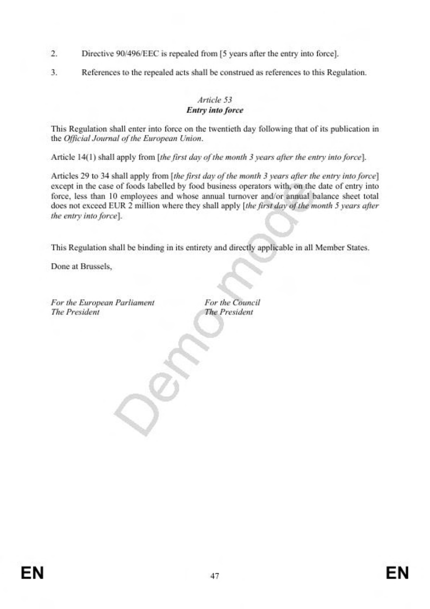- $\mathcal{L}$ Directive 90/496/EEC is repealed from [5 years after the entry into force].
- 3. References to the repealed acts shall be construed as references to this Regulation.

#### Article 53 **Entry into force**

This Regulation shall enter into force on the twentieth day following that of its publication in the Official Journal of the European Union.

Article 14(1) shall apply from [the first day of the month 3 years after the entry into force].

Articles 29 to 34 shall apply from [the first day of the month 3 years after the entry into force] except in the case of foods labelled by food business operators with, on the date of entry into force, less than 10 employees and whose annual turnover and/or annual balance sheet total does not exceed EUR 2 million where they shall apply [the first day of the month 5 years after the entry into force].

This Regulation shall be binding in its entirety and directly applicable in all Member States.

Done at Brussels,

For the European Parliament The President

For the Council **The President**